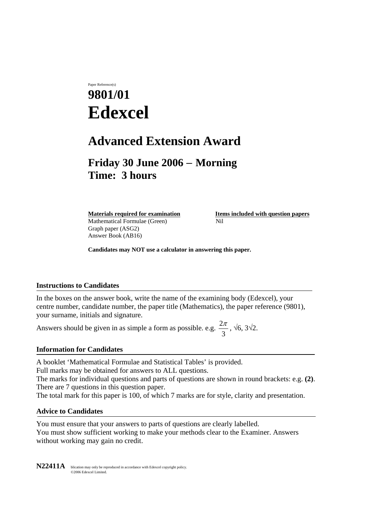# Paper Reference(s) **9801/01 Edexcel**

## **Advanced Extension Award**

### **Friday 30 June 2006** − **Morning Time: 3 hours**

Mathematical Formulae (Green)Nil Graph paper (ASG2) Answer Book (AB16)

**Materials required for examination Items included with question papers** 

**Candidates may NOT use a calculator in answering this paper.** 

#### **Instructions to Candidates**

In the boxes on the answer book, write the name of the examining body (Edexcel), your centre number, candidate number, the paper title (Mathematics), the paper reference (9801), your surname, initials and signature.

Answers should be given in as simple a form as possible. e.g.  $\frac{2\pi}{3}$ ,  $\sqrt{6}$ ,  $3\sqrt{2}$ .

#### **Information for Candidates**

A booklet 'Mathematical Formulae and Statistical Tables' is provided. Full marks may be obtained for answers to ALL questions.

The marks for individual questions and parts of questions are shown in round brackets: e.g. **(2)**. There are 7 questions in this question paper.

The total mark for this paper is 100, of which 7 marks are for style, clarity and presentation.

#### **Advice to Candidates**

You must ensure that your answers to parts of questions are clearly labelled. You must show sufficient working to make your methods clear to the Examiner. Answers without working may gain no credit.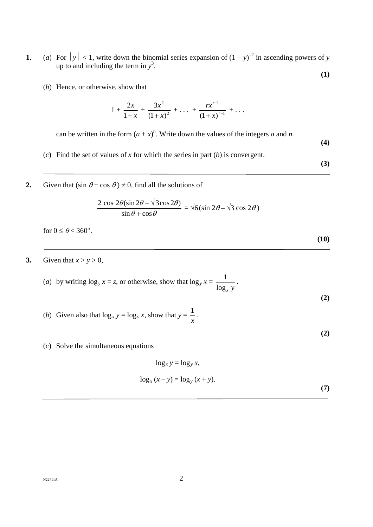- **1.** (*a*) For  $|y| < 1$ , write down the binomial series expansion of  $(1 y)^{-2}$  in ascending powers of *y* up to and including the term in  $y^3$ . **(1)** 
	- (*b*) Hence, or otherwise, show that

$$
1 + \frac{2x}{1+x} + \frac{3x^2}{(1+x)^2} + \ldots + \frac{rx^{r-1}}{(1+x)^{r-1}} + \ldots
$$

can be written in the form  $(a + x)^n$ . Write down the values of the integers *a* and *n*.

- (*c*) Find the set of values of *x* for which the series in part (*b*) is convergent.
- **2.** Given that  $(\sin \theta + \cos \theta) \neq 0$ , find all the solutions of

$$
\frac{2 \cos 2\theta(\sin 2\theta - \sqrt{3}\cos 2\theta)}{\sin \theta + \cos \theta} = \sqrt{6}(\sin 2\theta - \sqrt{3}\cos 2\theta)
$$

for  $0 \le \theta < 360^\circ$ .

**3.** Given that  $x > y > 0$ ,

(a) by writing 
$$
\log_y x = z
$$
, or otherwise, show that  $\log_y x = \frac{1}{\log_x y}$ . (2)

- (*b*) Given also that  $\log_x y = \log_y x$ , show that  $y =$ *x*  $\frac{1}{2}$ .
- (*c*) Solve the simultaneous equations

$$
\log_x y = \log_y x,
$$
  

$$
\log_x (x - y) = \log_y (x + y).
$$
 (7)

 $N22411A$  2

 **(3)** 

**(4)** 

 **(10)** 

**(2)**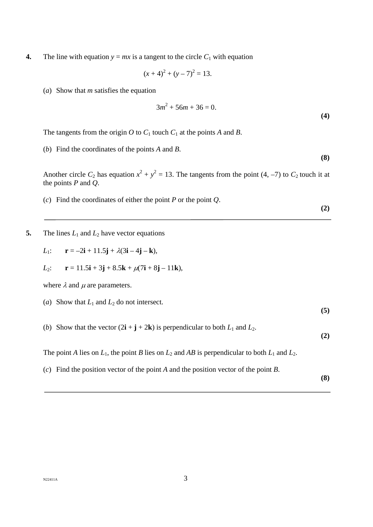**4.** The line with equation  $y = mx$  is a tangent to the circle  $C_1$  with equation

$$
(x+4)^2 + (y-7)^2 = 13.
$$

(*a*) Show that *m* satisfies the equation

$$
3m^2 + 56m + 36 = 0.
$$
 (4)

The tangents from the origin  $O$  to  $C_1$  touch  $C_1$  at the points  $A$  and  $B$ .

(*b*) Find the coordinates of the points *A* and *B*.

Another circle  $C_2$  has equation  $x^2 + y^2 = 13$ . The tangents from the point (4, -7) to  $C_2$  touch it at the points *P* and *Q*.

- (*c*) Find the coordinates of either the point *P* or the point *Q*.
- **5.** The lines  $L_1$  and  $L_2$  have vector equations

$$
L_1: \qquad \mathbf{r} = -2\mathbf{i} + 11.5\mathbf{j} + \lambda(3\mathbf{i} - 4\mathbf{j} - \mathbf{k}),
$$

*L*<sub>2</sub>: 
$$
\mathbf{r} = 11.5\mathbf{i} + 3\mathbf{j} + 8.5\mathbf{k} + \mu(7\mathbf{i} + 8\mathbf{j} - 11\mathbf{k}),
$$

where  $\lambda$  and  $\mu$  are parameters.

- (*a*) Show that  $L_1$  and  $L_2$  do not intersect.
- (*b*) Show that the vector  $(2\mathbf{i} + \mathbf{j} + 2\mathbf{k})$  is perpendicular to both  $L_1$  and  $L_2$ .

 **(2)** 

**(5)** 

The point *A* lies on  $L_1$ , the point *B* lies on  $L_2$  and *AB* is perpendicular to both  $L_1$  and  $L_2$ .

(*c*) Find the position vector of the point *A* and the position vector of the point *B*.

 **(8)** 

 **(2)**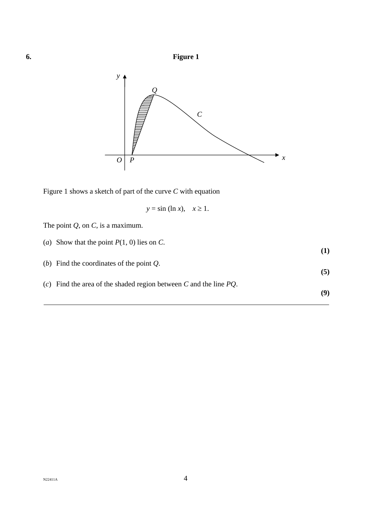



Figure 1 shows a sketch of part of the curve *C* with equation

$$
y = \sin(\ln x), \quad x \ge 1.
$$

|  |  |  | The point $Q$ , on $C$ , is a maximum. |
|--|--|--|----------------------------------------|
|  |  |  |                                        |

| (a) Show that the point $P(1, 0)$ lies on C.                         | (1) |
|----------------------------------------------------------------------|-----|
| (b) Find the coordinates of the point $Q$ .                          | (5) |
| (c) Find the area of the shaded region between C and the line $PQ$ . |     |